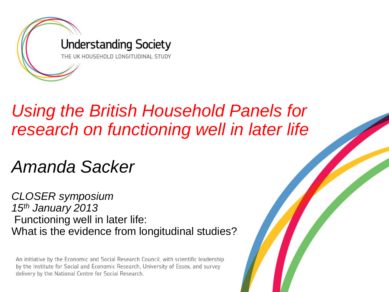

#### *Using the British Household Panels for research on functioning well in later life*

#### *Amanda Sacker*

*CLOSER symposium 15th January 2013* Functioning well in later life: What is the evidence from longitudinal studies?

An initiative by the Economic and Social Research Council, with scientific leadership by the Institute for Social and Economic Research, University of Essex, and survey delivery by the National Centre for Social Research.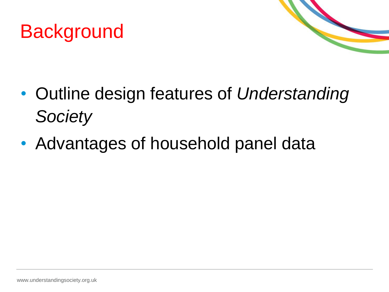



- Outline design features of *Understanding Society*
- Advantages of household panel data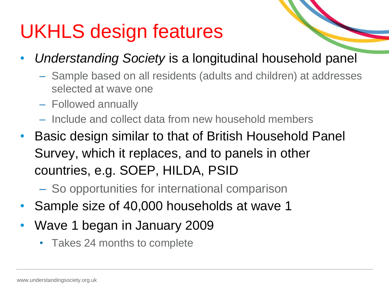## UKHLS design features

- *Understanding Society* is a longitudinal household panel
	- Sample based on all residents (adults and children) at addresses selected at wave one
	- Followed annually
	- Include and collect data from new household members
- Basic design similar to that of British Household Panel Survey, which it replaces, and to panels in other countries, e.g. SOEP, HILDA, PSID
	- So opportunities for international comparison
- Sample size of 40,000 households at wave 1
- Wave 1 began in January 2009
	- Takes 24 months to complete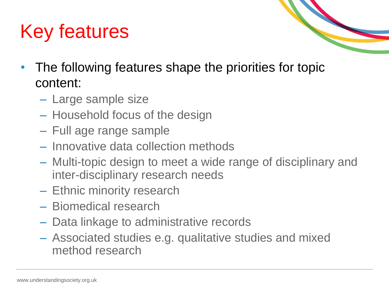# Key features



- The following features shape the priorities for topic content:
	- Large sample size
	- Household focus of the design
	- Full age range sample
	- Innovative data collection methods
	- Multi-topic design to meet a wide range of disciplinary and inter-disciplinary research needs
	- Ethnic minority research
	- Biomedical research
	- Data linkage to administrative records
	- Associated studies e.g. qualitative studies and mixed method research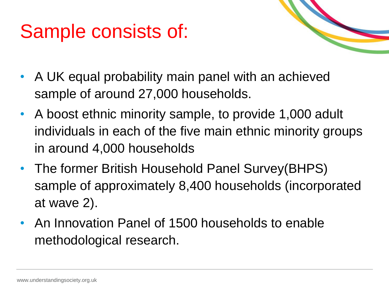## Sample consists of:



- A UK equal probability main panel with an achieved sample of around 27,000 households.
- A boost ethnic minority sample, to provide 1,000 adult individuals in each of the five main ethnic minority groups in around 4,000 households
- The former British Household Panel Survey(BHPS) sample of approximately 8,400 households (incorporated at wave 2).
- An Innovation Panel of 1500 households to enable methodological research.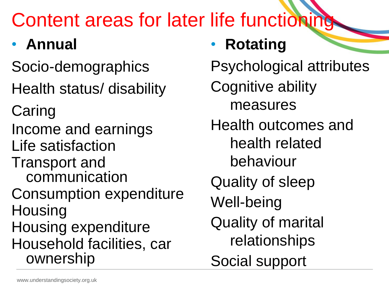# Content areas for later life functioning

## • **Annual**

Socio-demographics

Health status/ disability

**Caring** 

Income and earnings

Life satisfaction

Transport and communication

Consumption expenditure **Housing** 

Housing expenditure Household facilities, car ownership

• **Rotating**

Psychological attributes

- Cognitive ability measures
- Health outcomes and health related
	- behaviour

Quality of sleep

Well-being

Quality of marital relationships

Social support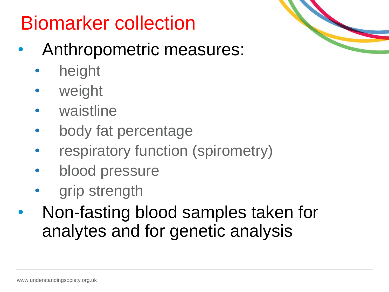# Biomarker collection

- Anthropometric measures:
	- height
	- weight
	- waistline
	- body fat percentage
	- respiratory function (spirometry)
	- blood pressure
	- grip strength
- Non-fasting blood samples taken for analytes and for genetic analysis

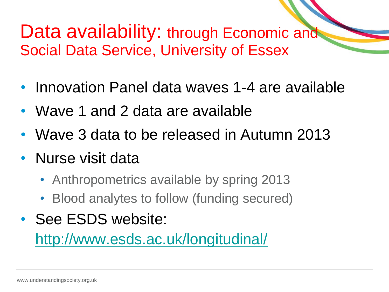#### Data availability: through Economic and Social Data Service, University of Essex

- Innovation Panel data waves 1-4 are available
- Wave 1 and 2 data are available
- Wave 3 data to be released in Autumn 2013
- Nurse visit data
	- Anthropometrics available by spring 2013
	- Blood analytes to follow (funding secured)
- See ESDS website:

<http://www.esds.ac.uk/longitudinal/>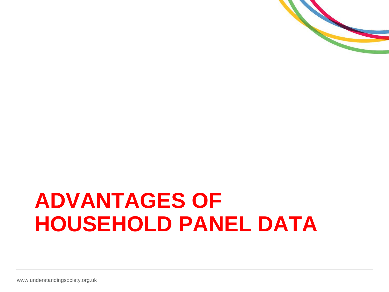

# **ADVANTAGES OF HOUSEHOLD PANEL DATA**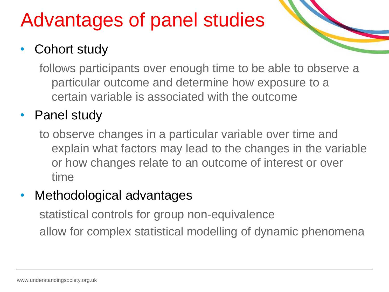## Advantages of panel studies

#### **Cohort study**

follows participants over enough time to be able to observe a particular outcome and determine how exposure to a certain variable is associated with the outcome

#### • Panel study

to observe changes in a particular variable over time and explain what factors may lead to the changes in the variable or how changes relate to an outcome of interest or over time

#### Methodological advantages

statistical controls for group non-equivalence allow for complex statistical modelling of dynamic phenomena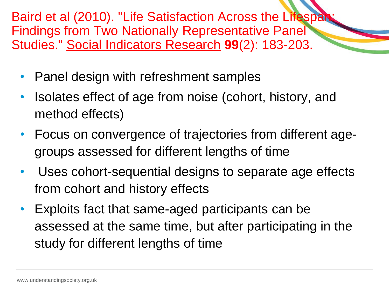Baird et al (2010). "Life Satisfaction Across the Lifespan: Findings from Two Nationally Representative Panel Studies." Social Indicators Research **99**(2): 183-203.

- Panel design with refreshment samples
- Isolates effect of age from noise (cohort, history, and method effects)
- Focus on convergence of trajectories from different agegroups assessed for different lengths of time
- Uses cohort-sequential designs to separate age effects from cohort and history effects
- Exploits fact that same-aged participants can be assessed at the same time, but after participating in the study for different lengths of time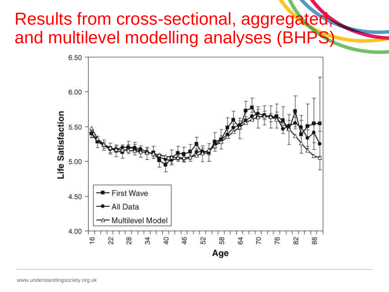#### Results from cross-sectional, aggregated, and multilevel modelling analyses (BHPS)

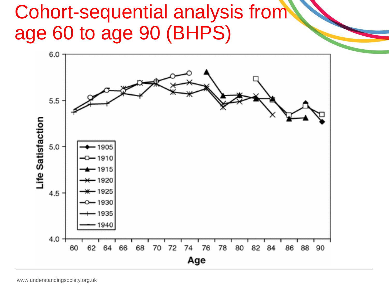### Cohort-sequential analysis from age 60 to age 90 (BHPS)

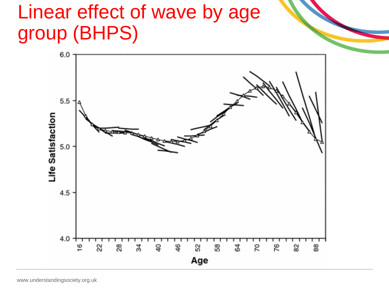## Linear effect of wave by age group (BHPS)

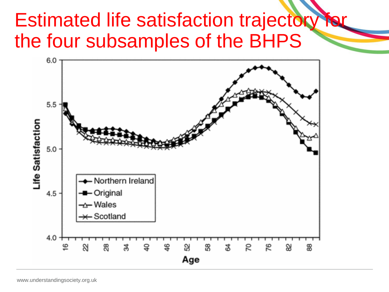### **Estimated life satisfaction trajectory** the four subsamples of the BHPS

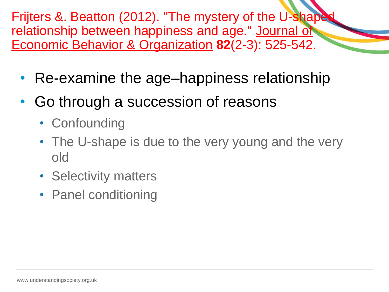Frijters &. Beatton (2012). "The mystery of the U-shaped relationship between happiness and age." Journal of Economic Behavior & Organization **82**(2-3): 525-542.

- Re-examine the age–happiness relationship
- Go through a succession of reasons
	- Confounding
	- The U-shape is due to the very young and the very old
	- Selectivity matters
	- Panel conditioning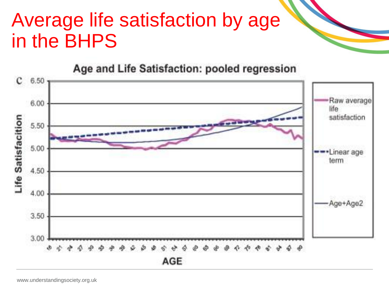## Average life satisfaction by age in the BHPS

#### Age and Life Satisfaction: pooled regression

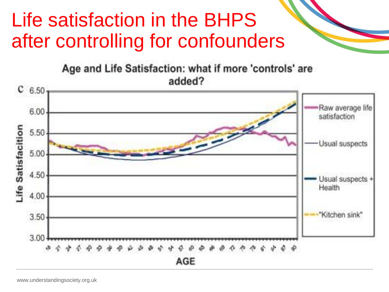## Life satisfaction in the BHPS after controlling for confounders

Age and Life Satisfaction: what if more 'controls' are added?

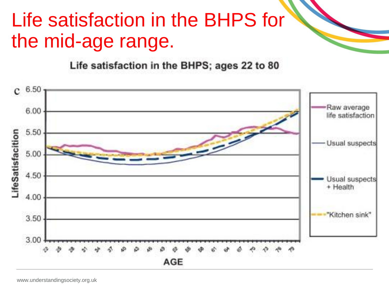## Life satisfaction in the BHPS for the mid-age range.

Life satisfaction in the BHPS; ages 22 to 80

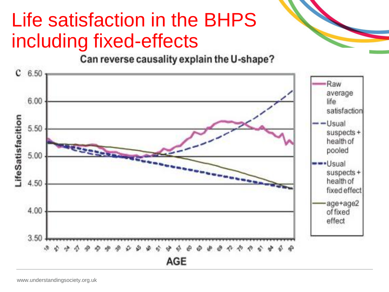## Life satisfaction in the BHPS including fixed-effects

Can reverse causality explain the U-shape?

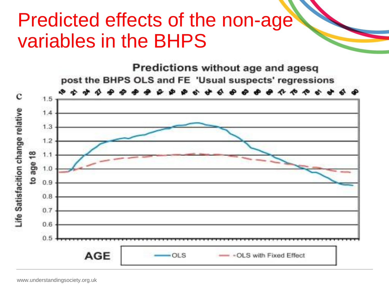### Predicted effects of the non-age variables in the BHPS

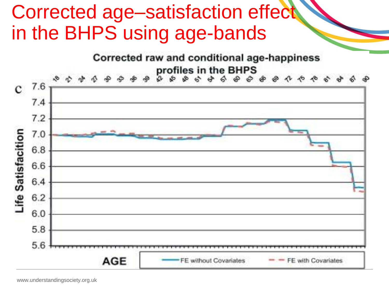## Corrected age–satisfaction effect in the BHPS using age-bands

Corrected raw and conditional age-happiness profiles in the BHPS